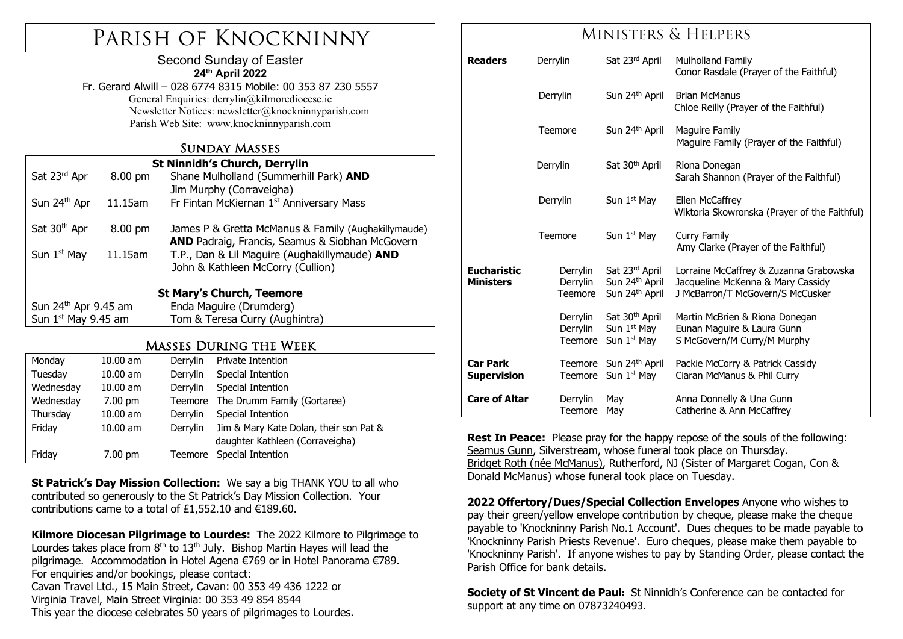# Parish of Knockninny

### Second Sunday of Easter **24th April 2022**

Fr. Gerard Alwill – 028 6774 8315 Mobile: 00 353 87 230 5557 General Enquiries: derrylin@kilmorediocese.ie Newsletter Notices: newsletter@knockninnyparish.com Parish Web Site: www.knockninnyparish.com

### Sunday Masses

| <b>St Ninnidh's Church, Derrylin</b> |                   |                                                     |  |  |  |  |
|--------------------------------------|-------------------|-----------------------------------------------------|--|--|--|--|
| Sat 23rd Apr                         | $8.00 \text{ pm}$ | Shane Mulholland (Summerhill Park) AND              |  |  |  |  |
|                                      |                   | Jim Murphy (Corraveigha)                            |  |  |  |  |
| Sun 24th Apr                         | 11.15am           | Fr Fintan McKiernan 1st Anniversary Mass            |  |  |  |  |
|                                      |                   |                                                     |  |  |  |  |
| Sat 30 <sup>th</sup> Apr             | 8.00 pm           | James P & Gretta McManus & Family (Aughakillymaude) |  |  |  |  |
|                                      |                   | AND Padraig, Francis, Seamus & Siobhan McGovern     |  |  |  |  |
| Sun $1st$ May                        | 11.15am           | T.P., Dan & Lil Maguire (Aughakillymaude) AND       |  |  |  |  |
|                                      |                   | John & Kathleen McCorry (Cullion)                   |  |  |  |  |
|                                      |                   |                                                     |  |  |  |  |
| <b>St Mary's Church, Teemore</b>     |                   |                                                     |  |  |  |  |
| Sun 24 <sup>th</sup> Apr 9.45 am     |                   | Enda Maguire (Drumderg)                             |  |  |  |  |
| Sun $1st$ May 9.45 am                |                   | Tom & Teresa Curry (Aughintra)                      |  |  |  |  |

### Masses During the Week

| Monday    | $10.00$ am        | Derrylin | Private Intention                      |
|-----------|-------------------|----------|----------------------------------------|
| Tuesday   | $10.00$ am        | Derrylin | Special Intention                      |
| Wednesday | $10.00$ am        | Derrylin | Special Intention                      |
| Wednesday | $7.00 \text{ pm}$ | Teemore  | The Drumm Family (Gortaree)            |
| Thursday  | $10.00$ am        | Derrylin | Special Intention                      |
| Friday    | $10.00$ am        | Derrylin | Jim & Mary Kate Dolan, their son Pat & |
|           |                   |          | daughter Kathleen (Corraveigha)        |
| Friday    | $7.00$ pm         | Teemore  | Special Intention                      |

**St Patrick's Day Mission Collection:** We say a big THANK YOU to all who contributed so generously to the St Patrick's Day Mission Collection. Your contributions came to a total of £1,552.10 and  $\epsilon$ 189.60.

**Kilmore Diocesan Pilgrimage to Lourdes:** The 2022 Kilmore to Pilgrimage to Lourdes takes place from  $8<sup>th</sup>$  to  $13<sup>th</sup>$  July. Bishop Martin Hayes will lead the pilgrimage. Accommodation in Hotel Agena €769 or in Hotel Panorama €789. For enquiries and/or bookings, please contact: Cavan Travel Ltd., 15 Main Street, Cavan: 00 353 49 436 1222 or Virginia Travel, Main Street Virginia: 00 353 49 854 8544 This year the diocese celebrates 50 years of pilgrimages to Lourdes.

## Ministers & Helpers

| <b>Readers</b>                         | Derrylin                        | Sat 23rd April                                                                   | Mulholland Family<br>Conor Rasdale (Prayer of the Faithful)                                                     |
|----------------------------------------|---------------------------------|----------------------------------------------------------------------------------|-----------------------------------------------------------------------------------------------------------------|
|                                        | Derrylin                        | Sun 24 <sup>th</sup> April                                                       | <b>Brian McManus</b><br>Chloe Reilly (Prayer of the Faithful)                                                   |
|                                        | Teemore                         | Sun 24 <sup>th</sup> April                                                       | Maguire Family<br>Maguire Family (Prayer of the Faithful)                                                       |
|                                        | Derrylin                        | Sat 30 <sup>th</sup> April                                                       | Riona Donegan<br>Sarah Shannon (Prayer of the Faithful)                                                         |
|                                        | Derrylin                        | Sun 1 <sup>st</sup> May                                                          | Ellen McCaffrey<br>Wiktoria Skowronska (Prayer of the Faithful)                                                 |
|                                        | Teemore                         | Sun 1 <sup>st</sup> May                                                          | Curry Family<br>Amy Clarke (Prayer of the Faithful)                                                             |
| <b>Eucharistic</b><br><b>Ministers</b> | Derrylin<br>Derrylin<br>Teemore | Sat 23rd April<br>Sun 24 <sup>th</sup> April<br>Sun 24 <sup>th</sup> April       | Lorraine McCaffrey & Zuzanna Grabowska<br>Jacqueline McKenna & Mary Cassidy<br>J McBarron/T McGovern/S McCusker |
|                                        | Derrylin<br>Derrylin<br>Teemore | Sat 30 <sup>th</sup> April<br>Sun 1 <sup>st</sup> May<br>Sun 1 <sup>st</sup> May | Martin McBrien & Riona Donegan<br>Eunan Maguire & Laura Gunn<br>S McGovern/M Curry/M Murphy                     |
| <b>Car Park</b><br><b>Supervision</b>  | Teemore<br>Teemore              | Sun 24 <sup>th</sup> April<br>Sun 1 <sup>st</sup> May                            | Packie McCorry & Patrick Cassidy<br>Ciaran McManus & Phil Curry                                                 |
| <b>Care of Altar</b>                   | Derrylin<br>Teemore             | May<br>May                                                                       | Anna Donnelly & Una Gunn<br>Catherine & Ann McCaffrey                                                           |

**Rest In Peace:** Please pray for the happy repose of the souls of the following: Seamus Gunn, Silverstream, whose funeral took place on Thursday. Bridget Roth (née McManus), Rutherford, NJ (Sister of Margaret Cogan, Con & Donald McManus) whose funeral took place on Tuesday.

**2022 Offertory/Dues/Special Collection Envelopes** Anyone who wishes to pay their green/yellow envelope contribution by cheque, please make the cheque payable to 'Knockninny Parish No.1 Account'. Dues cheques to be made payable to 'Knockninny Parish Priests Revenue'. Euro cheques, please make them payable to 'Knockninny Parish'. If anyone wishes to pay by Standing Order, please contact the Parish Office for bank details.

**Society of St Vincent de Paul:** St Ninnidh's Conference can be contacted for support at any time on 07873240493.